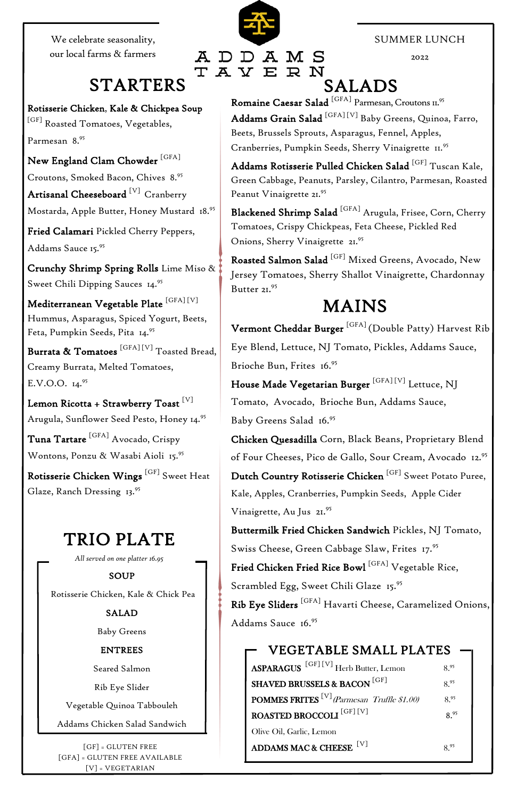Rotisserie Chicken, Kale & Chickpea Soup  $^{\rm [GF]}$  Roasted Tomatoes, Vegetables, Parmesan 8.<sup>95</sup>

New England Clam Chowder  $^{\rm [GFA]}$ 

Croutons, Smoked Bacon, Chives 8.<sup>95</sup>

Artisanal Cheeseboard<sup>[V]</sup> Cranberry

Crunchy Shrimp Spring Rolls Lime Miso & Sweet Chili Dipping Sauces 14.95

Mostarda, Apple Butter, Honey Mustard 18.<sup>95</sup>

Mediterranean Vegetable Plate  $^{\rm [GFA]\,[V]}$ Hummus, Asparagus, Spiced Yogurt, Beets, Feta, Pumpkin Seeds, Pita 14.<sup>95</sup>

Burrata & Tomatoes  $^{\rm [GFA][V]}$  Toasted Bread, Creamy Burrata, Melted Tomatoes, E.V.O.O.  $14.^{95}$ 

Lemon Ricotta + Strawberry Toast [V] Arugula, Sunflower Seed Pesto, Honey 14.95

Fried Calamari Pickled Cherry Peppers, Addams Sauce 15.<sup>95</sup>

Rotisserie Chicken Wings <sup>[GF]</sup> Sweet Heat Glaze, Ranch Dressing 13.<sup>95</sup>

Vermont Cheddar Burger<sup>[GFA]</sup> (Double Patty) Harvest Rib Eye Blend, Lettuce, NJ Tomato, Pickles, Addams Sauce, Brioche Bun, Frites 16.<sup>95</sup>

House Made Vegetarian Burger<sup>[GFA][V]</sup> Lettuce, NJ Tomato, Avocado, Brioche Bun, Addams Sauce, Baby Greens Salad 16.95

 Tuna Tartare [GFA] Avocado, Crispy Wontons, Ponzu & Wasabi Aioli 15.<sup>95</sup>

> Buttermilk Fried Chicken Sandwich Pickles, NJ Tomato, Swiss Cheese, Green Cabbage Slaw, Frites 17.95

### MAINS

### TRIO PLATE

Fried Chicken Fried Rice Bowl [GFA] Vegetable Rice, Scrambled Egg, Sweet Chili Glaze 15.<sup>95</sup>

*All served on one platter 16.95*

SOUP

Rotisserie Chicken, Kale & Chick Pea

SALAD

ASPARAGUS [GF] [V] Herb Butter, Lemon 8.<sup>95</sup> SHAVED BRUSSELS & BACON  $^{\rm [GF]}$  8.<sup>95</sup> **POMMES FRITES** <sup>[V]</sup>(Parmesan Truffle \$1.00) 8.95

Baby Greens

ENTREES

Seared Salmon

Rib Eye Slider

Vegetable Quinoa Tabbouleh

ROASTED BROCCOLI [GF] [V] 8.<sup>95</sup>

Addams Chicken Salad Sandwich

ADDAMS MAC & CHEESE [V] 8.<sup>95</sup>

$$
8.^{95}
$$

#### SUMMER LUNCH

2022

# R N

ADDAMS

 $E$ 

TAY

Romaine Caesar Salad <sup>[GFA]</sup> Parmesan, Croutons 11.<sup>95</sup> Addams Grain Salad <sup>[GFA] [V]</sup> Baby Greens, Quinoa, Farro, Beets, Brussels Sprouts, Asparagus, Fennel, Apples, Cranberries, Pumpkin Seeds, Sherry Vinaigrette II.95

Addams Rotisserie Pulled Chicken Salad <sup>[GF]</sup> Tuscan Kale, Green Cabbage, Peanuts, Parsley, Cilantro, Parmesan, Roasted Peanut Vinaigrette 21.95

Blackened Shrimp Salad <sup>[GFA]</sup> Arugula, Frisee, Corn, Cherry Tomatoes, Crispy Chickpeas, Feta Cheese, Pickled Red Onions, Sherry Vinaigrette 21.95

Roasted Salmon Salad <sup>[GF]</sup> Mixed Greens, Avocado, New Jersey Tomatoes, Sherry Shallot Vinaigrette, Chardonnay Butter 21.95

Chicken Quesadilla Corn, Black Beans, Proprietary Blend of Four Cheeses, Pico de Gallo, Sour Cream, Avocado 12.<sup>95</sup>

Dutch Country Rotisserie Chicken <sup>[GF]</sup> Sweet Potato Puree, Kale, Apples, Cranberries, Pumpkin Seeds, Apple Cider Vinaigrette, Au Jus 21.95

We celebrate seasonality, our local farms & farmers

### STARTERS SALADS

# VEGETABLE SMALL PLATES

Olive Oil, Garlic, Lemon

[GF] = GLUTEN FREE [GFA] = GLUTEN FREE AVAILABLE [V] = VEGETARIAN

Rib Eye Sliders<sup>[GFA]</sup> Havarti Cheese, Caramelized Onions,

Addams Sauce 16.95